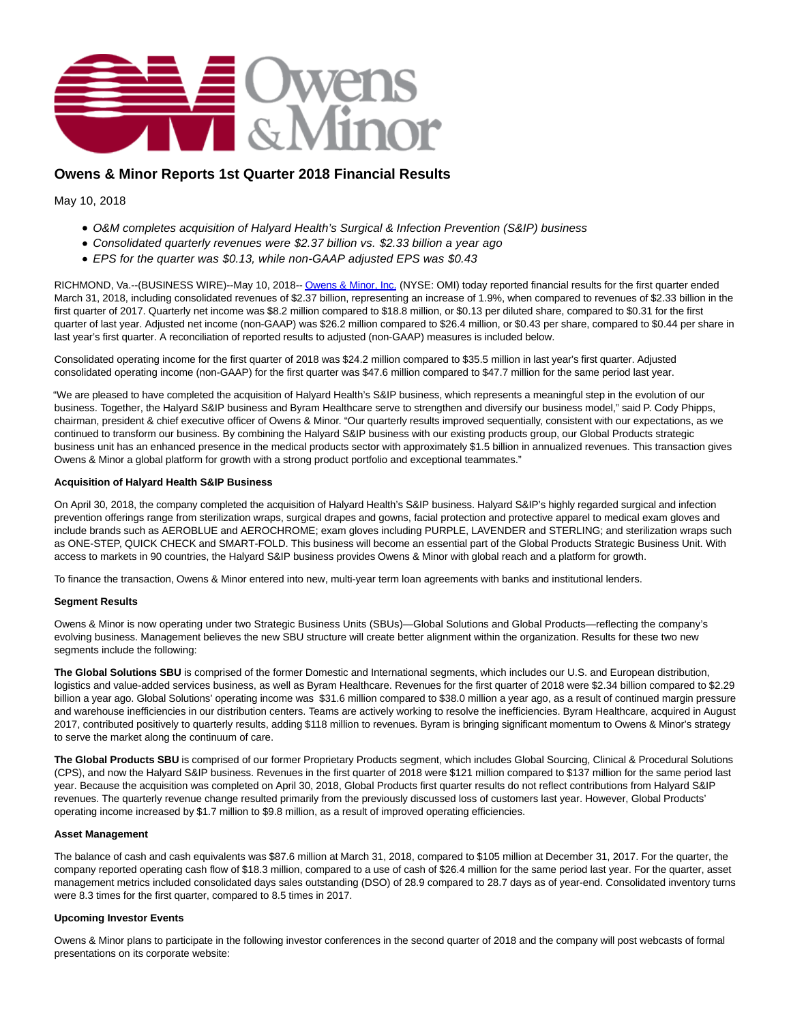

# **Owens & Minor Reports 1st Quarter 2018 Financial Results**

May 10, 2018

- O&M completes acquisition of Halyard Health's Surgical & Infection Prevention (S&IP) business
- Consolidated quarterly revenues were \$2.37 billion vs. \$2.33 billion a year ago
- EPS for the quarter was \$0.13, while non-GAAP adjusted EPS was \$0.43

RICHMOND, Va.--(BUSINESS WIRE)--May 10, 2018-[- Owens & Minor, Inc. \(](http://cts.businesswire.com/ct/CT?id=smartlink&url=http%3A%2F%2Fwww.owens-minor.com%2F&esheet=51804168&newsitemid=20180510005367&lan=en-US&anchor=Owens+%26+Minor%2C+Inc.&index=1&md5=af784351fbe6daf616fc48270f41cc9d)NYSE: OMI) today reported financial results for the first quarter ended March 31, 2018, including consolidated revenues of \$2.37 billion, representing an increase of 1.9%, when compared to revenues of \$2.33 billion in the first quarter of 2017. Quarterly net income was \$8.2 million compared to \$18.8 million, or \$0.13 per diluted share, compared to \$0.31 for the first quarter of last year. Adjusted net income (non-GAAP) was \$26.2 million compared to \$26.4 million, or \$0.43 per share, compared to \$0.44 per share in last year's first quarter. A reconciliation of reported results to adjusted (non-GAAP) measures is included below.

Consolidated operating income for the first quarter of 2018 was \$24.2 million compared to \$35.5 million in last year's first quarter. Adjusted consolidated operating income (non-GAAP) for the first quarter was \$47.6 million compared to \$47.7 million for the same period last year.

"We are pleased to have completed the acquisition of Halyard Health's S&IP business, which represents a meaningful step in the evolution of our business. Together, the Halyard S&IP business and Byram Healthcare serve to strengthen and diversify our business model," said P. Cody Phipps, chairman, president & chief executive officer of Owens & Minor. "Our quarterly results improved sequentially, consistent with our expectations, as we continued to transform our business. By combining the Halyard S&IP business with our existing products group, our Global Products strategic business unit has an enhanced presence in the medical products sector with approximately \$1.5 billion in annualized revenues. This transaction gives Owens & Minor a global platform for growth with a strong product portfolio and exceptional teammates."

## **Acquisition of Halyard Health S&IP Business**

On April 30, 2018, the company completed the acquisition of Halyard Health's S&IP business. Halyard S&IP's highly regarded surgical and infection prevention offerings range from sterilization wraps, surgical drapes and gowns, facial protection and protective apparel to medical exam gloves and include brands such as AEROBLUE and AEROCHROME; exam gloves including PURPLE, LAVENDER and STERLING; and sterilization wraps such as ONE-STEP, QUICK CHECK and SMART-FOLD. This business will become an essential part of the Global Products Strategic Business Unit. With access to markets in 90 countries, the Halyard S&IP business provides Owens & Minor with global reach and a platform for growth.

To finance the transaction, Owens & Minor entered into new, multi-year term loan agreements with banks and institutional lenders.

#### **Segment Results**

Owens & Minor is now operating under two Strategic Business Units (SBUs)—Global Solutions and Global Products—reflecting the company's evolving business. Management believes the new SBU structure will create better alignment within the organization. Results for these two new segments include the following:

**The Global Solutions SBU** is comprised of the former Domestic and International segments, which includes our U.S. and European distribution, logistics and value-added services business, as well as Byram Healthcare. Revenues for the first quarter of 2018 were \$2.34 billion compared to \$2.29 billion a year ago. Global Solutions' operating income was \$31.6 million compared to \$38.0 million a year ago, as a result of continued margin pressure and warehouse inefficiencies in our distribution centers. Teams are actively working to resolve the inefficiencies. Byram Healthcare, acquired in August 2017, contributed positively to quarterly results, adding \$118 million to revenues. Byram is bringing significant momentum to Owens & Minor's strategy to serve the market along the continuum of care.

**The Global Products SBU** is comprised of our former Proprietary Products segment, which includes Global Sourcing, Clinical & Procedural Solutions (CPS), and now the Halyard S&IP business. Revenues in the first quarter of 2018 were \$121 million compared to \$137 million for the same period last year. Because the acquisition was completed on April 30, 2018, Global Products first quarter results do not reflect contributions from Halyard S&IP revenues. The quarterly revenue change resulted primarily from the previously discussed loss of customers last year. However, Global Products' operating income increased by \$1.7 million to \$9.8 million, as a result of improved operating efficiencies.

#### **Asset Management**

The balance of cash and cash equivalents was \$87.6 million at March 31, 2018, compared to \$105 million at December 31, 2017. For the quarter, the company reported operating cash flow of \$18.3 million, compared to a use of cash of \$26.4 million for the same period last year. For the quarter, asset management metrics included consolidated days sales outstanding (DSO) of 28.9 compared to 28.7 days as of year-end. Consolidated inventory turns were 8.3 times for the first quarter, compared to 8.5 times in 2017.

#### **Upcoming Investor Events**

Owens & Minor plans to participate in the following investor conferences in the second quarter of 2018 and the company will post webcasts of formal presentations on its corporate website: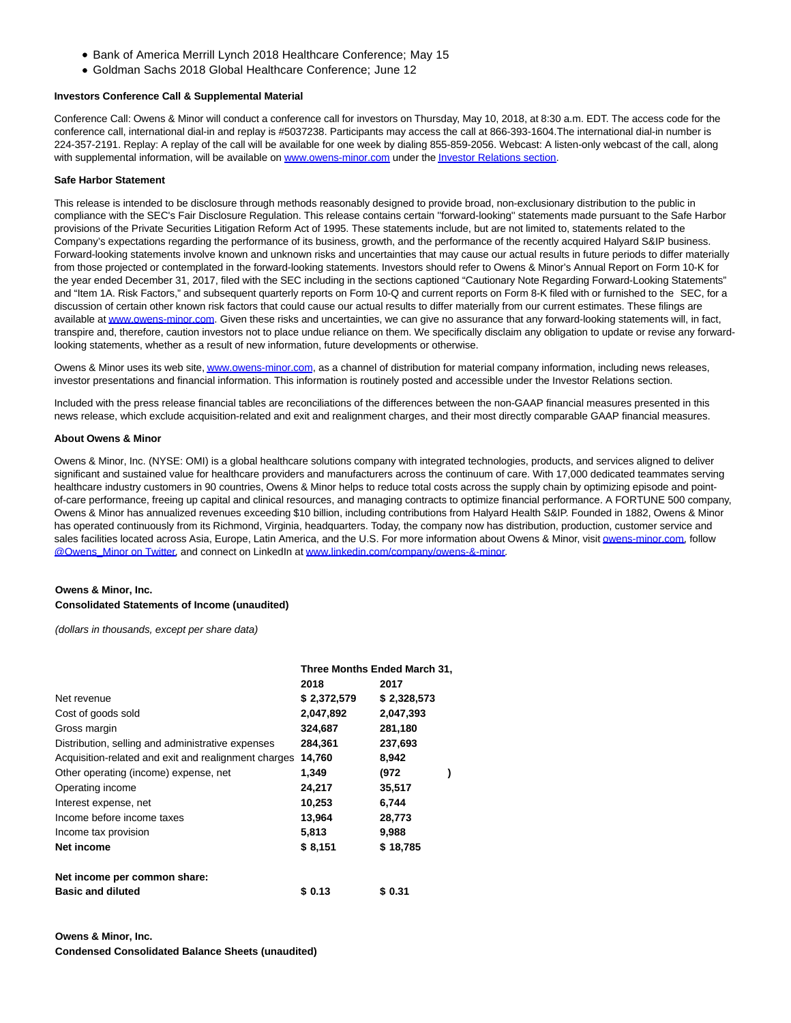- Bank of America Merrill Lynch 2018 Healthcare Conference; May 15
- Goldman Sachs 2018 Global Healthcare Conference; June 12

#### **Investors Conference Call & Supplemental Material**

Conference Call: Owens & Minor will conduct a conference call for investors on Thursday, May 10, 2018, at 8:30 a.m. EDT. The access code for the conference call, international dial-in and replay is #5037238. Participants may access the call at 866-393-1604.The international dial-in number is 224-357-2191. Replay: A replay of the call will be available for one week by dialing 855-859-2056. Webcast: A listen-only webcast of the call, along with supplemental information, will be available o[n www.owens-minor.com u](http://cts.businesswire.com/ct/CT?id=smartlink&url=http%3A%2F%2Fwww.owens-minor.com&esheet=51804168&newsitemid=20180510005367&lan=en-US&anchor=www.owens-minor.com&index=2&md5=9dda20350de9285afdf79683a9c72fb6)nder th[e Investor Relations section.](http://cts.businesswire.com/ct/CT?id=smartlink&url=http%3A%2F%2Finvestors.owens-minor.com%2Fevents.cfm&esheet=51804168&newsitemid=20180510005367&lan=en-US&anchor=Investor+Relations+section&index=3&md5=1df3b1500e16a96ebb36605648d49996)

#### **Safe Harbor Statement**

This release is intended to be disclosure through methods reasonably designed to provide broad, non-exclusionary distribution to the public in compliance with the SEC's Fair Disclosure Regulation. This release contains certain ''forward-looking'' statements made pursuant to the Safe Harbor provisions of the Private Securities Litigation Reform Act of 1995. These statements include, but are not limited to, statements related to the Company's expectations regarding the performance of its business, growth, and the performance of the recently acquired Halyard S&IP business. Forward-looking statements involve known and unknown risks and uncertainties that may cause our actual results in future periods to differ materially from those projected or contemplated in the forward-looking statements. Investors should refer to Owens & Minor's Annual Report on Form 10-K for the year ended December 31, 2017, filed with the SEC including in the sections captioned "Cautionary Note Regarding Forward-Looking Statements" and "Item 1A. Risk Factors," and subsequent quarterly reports on Form 10-Q and current reports on Form 8-K filed with or furnished to the SEC, for a discussion of certain other known risk factors that could cause our actual results to differ materially from our current estimates. These filings are available a[t www.owens-minor.com.](http://cts.businesswire.com/ct/CT?id=smartlink&url=http%3A%2F%2Fwww.owens-minor.com&esheet=51804168&newsitemid=20180510005367&lan=en-US&anchor=www.owens-minor.com&index=4&md5=a6bfb92fcc92ab9f61bc87212fb22715) Given these risks and uncertainties, we can give no assurance that any forward-looking statements will, in fact, transpire and, therefore, caution investors not to place undue reliance on them. We specifically disclaim any obligation to update or revise any forwardlooking statements, whether as a result of new information, future developments or otherwise.

Owens & Minor uses its web site[, www.owens-minor.com,](http://cts.businesswire.com/ct/CT?id=smartlink&url=http%3A%2F%2Fwww.owens-minor.com&esheet=51804168&newsitemid=20180510005367&lan=en-US&anchor=www.owens-minor.com&index=5&md5=c7275694d2c02a4abc34d1bfeadbec89) as a channel of distribution for material company information, including news releases, investor presentations and financial information. This information is routinely posted and accessible under the Investor Relations section.

Included with the press release financial tables are reconciliations of the differences between the non-GAAP financial measures presented in this news release, which exclude acquisition-related and exit and realignment charges, and their most directly comparable GAAP financial measures.

#### **About Owens & Minor**

Owens & Minor, Inc. (NYSE: OMI) is a global healthcare solutions company with integrated technologies, products, and services aligned to deliver significant and sustained value for healthcare providers and manufacturers across the continuum of care. With 17,000 dedicated teammates serving healthcare industry customers in 90 countries, Owens & Minor helps to reduce total costs across the supply chain by optimizing episode and pointof-care performance, freeing up capital and clinical resources, and managing contracts to optimize financial performance. A FORTUNE 500 company, Owens & Minor has annualized revenues exceeding \$10 billion, including contributions from Halyard Health S&IP. Founded in 1882, Owens & Minor has operated continuously from its Richmond, Virginia, headquarters. Today, the company now has distribution, production, customer service and sales facilities located across Asia, Europe, Latin America, and the U.S. For more information about Owens & Minor, visit [owens-minor.com,](http://cts.businesswire.com/ct/CT?id=smartlink&url=http%3A%2F%2Fwww.owens-minor.com&esheet=51804168&newsitemid=20180510005367&lan=en-US&anchor=owens-minor.com&index=6&md5=51061a5def9498cb841e9e7eb7706912) follow [@Owens\\_Minor on Twitter,](http://cts.businesswire.com/ct/CT?id=smartlink&url=https%3A%2F%2Ftwitter.com%2FOwens_Minor&esheet=51804168&newsitemid=20180510005367&lan=en-US&anchor=%40Owens_Minor+on+Twitter&index=7&md5=789414f068fc3e24fd1d4d99982593f0) and connect on LinkedIn at [www.linkedin.com/company/owens-&-minor.](http://cts.businesswire.com/ct/CT?id=smartlink&url=http%3A%2F%2Fwww.linkedin.com%2Fcompany%2Fowens-%26-minor&esheet=51804168&newsitemid=20180510005367&lan=en-US&anchor=www.linkedin.com%2Fcompany%2Fowens-%26-minor&index=8&md5=a09d95f5447633eff75ed4b3e22936b9)

## **Owens & Minor, Inc. Consolidated Statements of Income (unaudited)**

(dollars in thousands, except per share data)

|                                                      | Three Months Ended March 31, |             |  |  |
|------------------------------------------------------|------------------------------|-------------|--|--|
|                                                      | 2018                         | 2017        |  |  |
| Net revenue                                          | \$2,372,579                  | \$2,328,573 |  |  |
| Cost of goods sold                                   | 2,047,892                    | 2,047,393   |  |  |
| Gross margin                                         | 324,687                      | 281,180     |  |  |
| Distribution, selling and administrative expenses    | 284,361                      | 237,693     |  |  |
| Acquisition-related and exit and realignment charges | 14,760                       | 8,942       |  |  |
| Other operating (income) expense, net                | 1,349                        | (972        |  |  |
| Operating income                                     | 24,217                       | 35,517      |  |  |
| Interest expense, net                                | 10,253                       | 6,744       |  |  |
| Income before income taxes                           | 13,964                       | 28,773      |  |  |
| Income tax provision                                 | 5,813                        | 9,988       |  |  |
| Net income                                           | \$8,151                      | \$18,785    |  |  |
| Net income per common share:                         |                              |             |  |  |
| <b>Basic and diluted</b>                             | \$ 0.13                      | \$ 0.31     |  |  |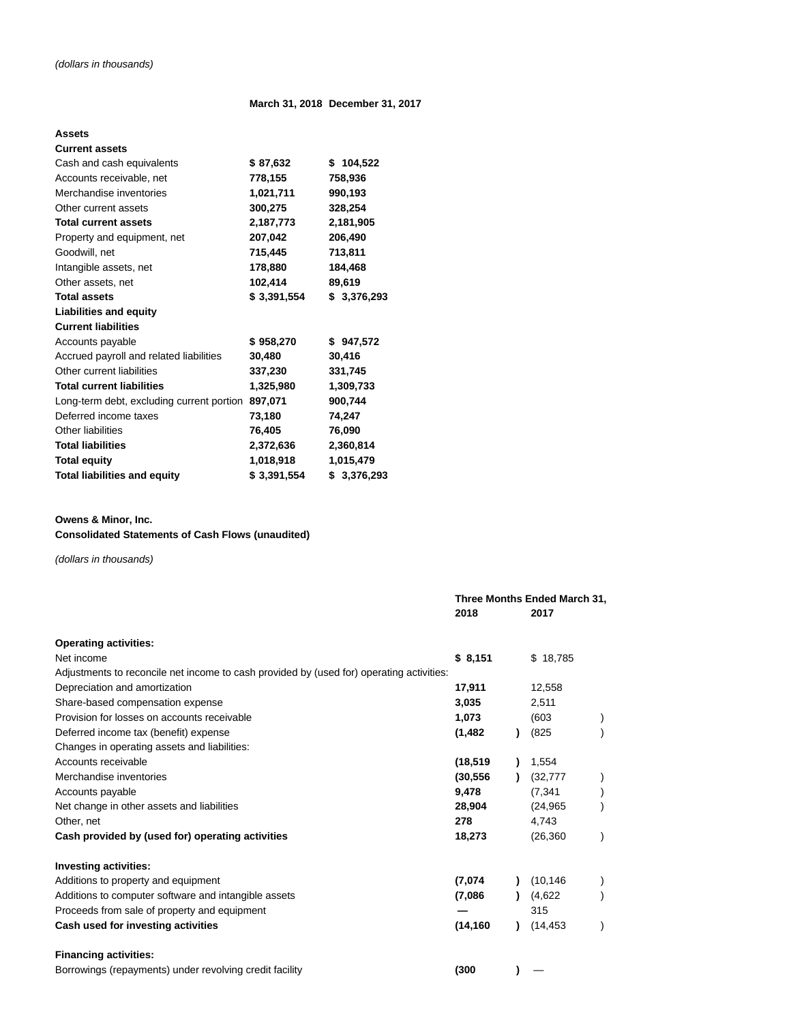# **March 31, 2018 December 31, 2017**

# **Assets**

| <b>Current assets</b>                     |             |             |
|-------------------------------------------|-------------|-------------|
| Cash and cash equivalents                 | \$87,632    | \$104,522   |
| Accounts receivable, net                  | 778,155     | 758,936     |
| Merchandise inventories                   | 1,021,711   | 990,193     |
| Other current assets                      | 300,275     | 328,254     |
| <b>Total current assets</b>               | 2,187,773   | 2,181,905   |
| Property and equipment, net               | 207,042     | 206,490     |
| Goodwill, net                             | 715,445     | 713,811     |
| Intangible assets, net                    | 178,880     | 184,468     |
| Other assets, net                         | 102,414     | 89,619      |
| <b>Total assets</b>                       | \$3,391,554 | \$3,376,293 |
| <b>Liabilities and equity</b>             |             |             |
| <b>Current liabilities</b>                |             |             |
| Accounts payable                          | \$958,270   | \$947,572   |
| Accrued payroll and related liabilities   | 30,480      | 30,416      |
| Other current liabilities                 | 337,230     | 331,745     |
| <b>Total current liabilities</b>          | 1,325,980   | 1,309,733   |
| Long-term debt, excluding current portion | 897,071     | 900,744     |
| Deferred income taxes                     | 73,180      | 74,247      |
| Other liabilities                         | 76,405      | 76,090      |
| <b>Total liabilities</b>                  | 2,372,636   | 2,360,814   |
| <b>Total equity</b>                       | 1,018,918   | 1,015,479   |
| <b>Total liabilities and equity</b>       | \$3,391,554 | \$3,376,293 |

# **Owens & Minor, Inc.**

# **Consolidated Statements of Cash Flows (unaudited)**

(dollars in thousands)

|                                                                                          |           | Three Months Ended March 31, |           |  |  |
|------------------------------------------------------------------------------------------|-----------|------------------------------|-----------|--|--|
|                                                                                          | 2018      |                              | 2017      |  |  |
| <b>Operating activities:</b>                                                             |           |                              |           |  |  |
| Net income                                                                               | \$8,151   |                              | \$18,785  |  |  |
| Adjustments to reconcile net income to cash provided by (used for) operating activities: |           |                              |           |  |  |
| Depreciation and amortization                                                            | 17,911    |                              | 12,558    |  |  |
| Share-based compensation expense                                                         | 3,035     |                              | 2,511     |  |  |
| Provision for losses on accounts receivable                                              | 1,073     |                              | (603)     |  |  |
| Deferred income tax (benefit) expense                                                    | (1, 482)  |                              | (825)     |  |  |
| Changes in operating assets and liabilities:                                             |           |                              |           |  |  |
| Accounts receivable                                                                      | (18, 519) |                              | 1,554     |  |  |
| Merchandise inventories                                                                  | (30, 556) |                              | (32, 777) |  |  |
| Accounts payable                                                                         | 9,478     |                              | (7, 341)  |  |  |
| Net change in other assets and liabilities                                               | 28,904    |                              | (24, 965) |  |  |
| Other, net                                                                               | 278       |                              | 4,743     |  |  |
| Cash provided by (used for) operating activities                                         | 18,273    |                              | (26, 360) |  |  |
| <b>Investing activities:</b>                                                             |           |                              |           |  |  |
| Additions to property and equipment                                                      | (7,074)   |                              | (10, 146) |  |  |
| Additions to computer software and intangible assets                                     | (7,086)   |                              | (4,622)   |  |  |
| Proceeds from sale of property and equipment                                             |           |                              | 315       |  |  |
| Cash used for investing activities                                                       | (14, 160) |                              | (14, 453) |  |  |
| <b>Financing activities:</b>                                                             |           |                              |           |  |  |
| Borrowings (repayments) under revolving credit facility                                  | (300)     |                              |           |  |  |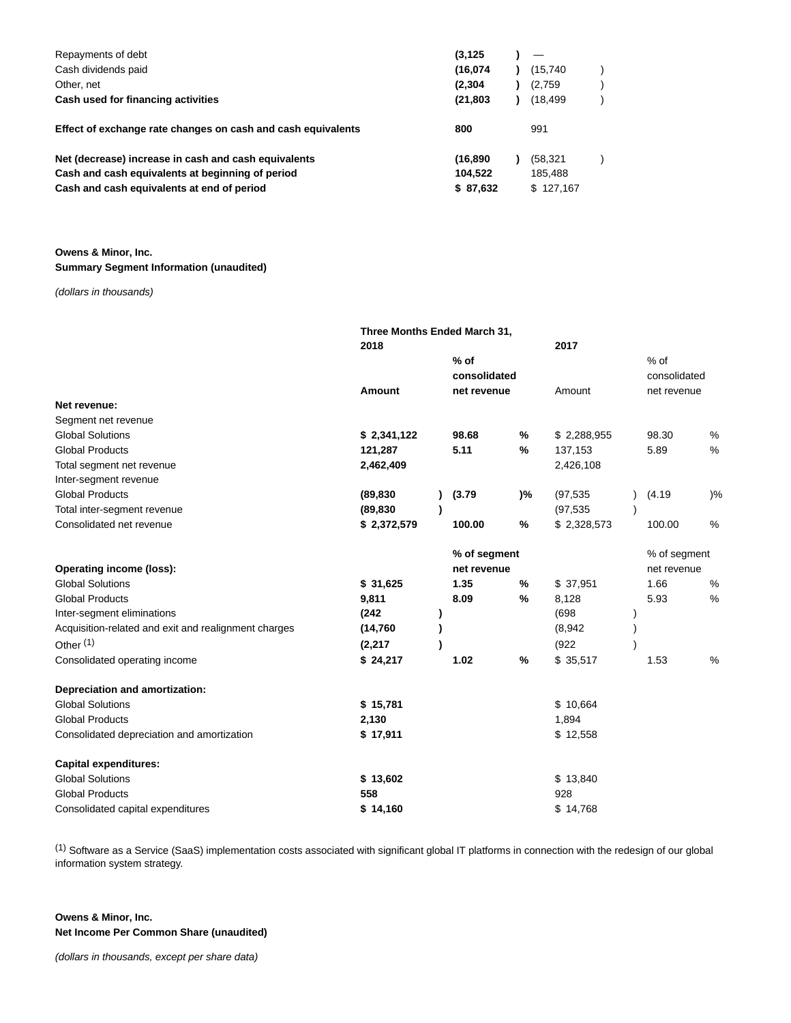| Repayments of debt                                           | (3, 125)  |           |  |
|--------------------------------------------------------------|-----------|-----------|--|
| Cash dividends paid                                          | (16.074)  | (15,740   |  |
| Other, net                                                   | (2,304)   | (2,759)   |  |
| Cash used for financing activities                           | (21, 803) | (18.499   |  |
| Effect of exchange rate changes on cash and cash equivalents | 800       | 991       |  |
| Net (decrease) increase in cash and cash equivalents         | (16, 890) | (58,321   |  |
| Cash and cash equivalents at beginning of period             | 104,522   | 185.488   |  |
| Cash and cash equivalents at end of period                   | \$87,632  | \$127.167 |  |

**Owens & Minor, Inc. Summary Segment Information (unaudited)**

(dollars in thousands)

|                                                      | Three Months Ended March 31, |   |              |    |             |              |       |
|------------------------------------------------------|------------------------------|---|--------------|----|-------------|--------------|-------|
|                                                      | 2018                         |   |              |    | 2017        |              |       |
|                                                      |                              |   | $%$ of       |    |             | $%$ of       |       |
|                                                      |                              |   | consolidated |    |             | consolidated |       |
|                                                      | Amount                       |   | net revenue  |    | Amount      | net revenue  |       |
| Net revenue:                                         |                              |   |              |    |             |              |       |
| Segment net revenue                                  |                              |   |              |    |             |              |       |
| <b>Global Solutions</b>                              | \$2,341,122                  |   | 98.68        | ℅  | \$2,288,955 | 98.30        | %     |
| <b>Global Products</b>                               | 121,287                      |   | 5.11         | %  | 137,153     | 5.89         | %     |
| Total segment net revenue                            | 2,462,409                    |   |              |    | 2,426,108   |              |       |
| Inter-segment revenue                                |                              |   |              |    |             |              |       |
| <b>Global Products</b>                               | (89, 830)                    |   | (3.79)       | )% | (97, 535)   | (4.19)       | $)$ % |
| Total inter-segment revenue                          | (89, 830)                    | J |              |    | (97, 535)   |              |       |
| Consolidated net revenue                             | \$2,372,579                  |   | 100.00       | %  | \$2,328,573 | 100.00       | $\%$  |
|                                                      |                              |   | % of segment |    |             | % of segment |       |
| <b>Operating income (loss):</b>                      |                              |   | net revenue  |    |             | net revenue  |       |
| <b>Global Solutions</b>                              | \$31,625                     |   | 1.35         | %  | \$37,951    | 1.66         | $\%$  |
| <b>Global Products</b>                               | 9,811                        |   | 8.09         | %  | 8,128       | 5.93         | %     |
| Inter-segment eliminations                           | (242)                        |   |              |    | (698)       |              |       |
| Acquisition-related and exit and realignment charges | (14, 760)                    |   |              |    | (8,942)     |              |       |
| Other <sup>(1)</sup>                                 | (2,217)                      |   |              |    | (922)       |              |       |
| Consolidated operating income                        | \$24,217                     |   | 1.02         | %  | \$35,517    | 1.53         | %     |
| <b>Depreciation and amortization:</b>                |                              |   |              |    |             |              |       |
| <b>Global Solutions</b>                              | \$15,781                     |   |              |    | \$10,664    |              |       |
| <b>Global Products</b>                               | 2,130                        |   |              |    | 1,894       |              |       |
| Consolidated depreciation and amortization           | \$17,911                     |   |              |    | \$12,558    |              |       |
| <b>Capital expenditures:</b>                         |                              |   |              |    |             |              |       |
| <b>Global Solutions</b>                              | \$13,602                     |   |              |    | \$13,840    |              |       |
| <b>Global Products</b>                               | 558                          |   |              |    | 928         |              |       |
| Consolidated capital expenditures                    | \$14,160                     |   |              |    | \$14,768    |              |       |

(1) Software as a Service (SaaS) implementation costs associated with significant global IT platforms in connection with the redesign of our global information system strategy.

**Owens & Minor, Inc. Net Income Per Common Share (unaudited)**

(dollars in thousands, except per share data)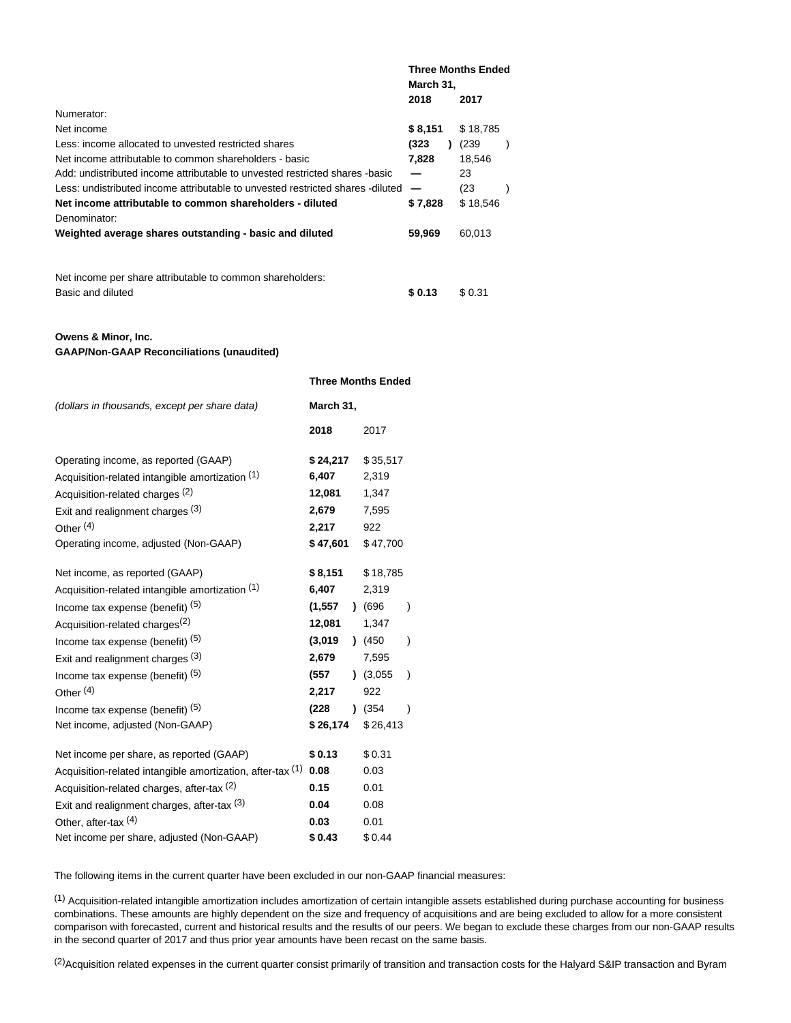|                                                                                | <b>Three Months Ended</b><br>March 31, |  |          |  |
|--------------------------------------------------------------------------------|----------------------------------------|--|----------|--|
|                                                                                | 2018                                   |  | 2017     |  |
| Numerator:                                                                     |                                        |  |          |  |
| Net income                                                                     | \$8,151                                |  | \$18,785 |  |
| Less: income allocated to unvested restricted shares                           | (323                                   |  | (239)    |  |
| Net income attributable to common shareholders - basic                         | 7.828                                  |  | 18,546   |  |
| Add: undistributed income attributable to unvested restricted shares -basic    |                                        |  | 23       |  |
| Less: undistributed income attributable to unvested restricted shares -diluted |                                        |  | (23)     |  |
| Net income attributable to common shareholders - diluted                       | \$7,828                                |  | \$18,546 |  |
| Denominator:                                                                   |                                        |  |          |  |
| Weighted average shares outstanding - basic and diluted                        | 59,969                                 |  | 60,013   |  |
|                                                                                |                                        |  |          |  |
| Net income per share attributable to common shareholders:                      |                                        |  |          |  |

Basic and diluted **\$ 0.13** \$ 0.31

## **Owens & Minor, Inc. GAAP/Non-GAAP Reconciliations (unaudited)**

|                                                            | <b>Three Months Ended</b> |                      |           |               |  |  |
|------------------------------------------------------------|---------------------------|----------------------|-----------|---------------|--|--|
| (dollars in thousands, except per share data)              | March 31,                 |                      |           |               |  |  |
|                                                            | 2018                      |                      | 2017      |               |  |  |
| Operating income, as reported (GAAP)                       | \$24,217                  |                      | \$35,517  |               |  |  |
| Acquisition-related intangible amortization (1)            | 6,407                     |                      | 2,319     |               |  |  |
| Acquisition-related charges <sup>(2)</sup>                 | 12,081                    |                      | 1,347     |               |  |  |
| Exit and realignment charges (3)                           | 2,679                     |                      | 7,595     |               |  |  |
| Other $(4)$                                                | 2,217                     |                      | 922       |               |  |  |
| Operating income, adjusted (Non-GAAP)                      |                           | \$47,601<br>\$47,700 |           |               |  |  |
| Net income, as reported (GAAP)                             | \$8,151                   |                      | \$18,785  |               |  |  |
| Acquisition-related intangible amortization (1)            | 6,407                     |                      | 2,319     |               |  |  |
| Income tax expense (benefit) (5)                           | (1, 557)                  |                      | $)$ (696) | $\lambda$     |  |  |
| Acquisition-related charges <sup>(2)</sup>                 | 12,081                    |                      | 1,347     |               |  |  |
| Income tax expense (benefit) (5)                           | (3,019)                   |                      | (450)     | $\mathcal{E}$ |  |  |
| Exit and realignment charges (3)                           | 2,679                     |                      | 7,595     |               |  |  |
| Income tax expense (benefit) <sup>(5)</sup>                | (557                      |                      | (3.055)   | $\lambda$     |  |  |
| Other $(4)$                                                | 2,217                     |                      | 922       |               |  |  |
| Income tax expense (benefit) (5)                           | (228                      |                      | $)$ (354) | $\lambda$     |  |  |
| Net income, adjusted (Non-GAAP)                            | \$26,174                  |                      | \$26,413  |               |  |  |
| Net income per share, as reported (GAAP)                   | \$0.13                    |                      | \$0.31    |               |  |  |
| Acquisition-related intangible amortization, after-tax (1) | 0.08                      |                      | 0.03      |               |  |  |
| Acquisition-related charges, after-tax (2)                 | 0.15                      |                      | 0.01      |               |  |  |
| Exit and realignment charges, after-tax (3)                | 0.04                      |                      | 0.08      |               |  |  |
| Other, after-tax (4)                                       | 0.03                      |                      | 0.01      |               |  |  |
| Net income per share, adjusted (Non-GAAP)                  | \$0.43                    |                      | \$0.44    |               |  |  |

The following items in the current quarter have been excluded in our non-GAAP financial measures:

(1) Acquisition-related intangible amortization includes amortization of certain intangible assets established during purchase accounting for business combinations. These amounts are highly dependent on the size and frequency of acquisitions and are being excluded to allow for a more consistent comparison with forecasted, current and historical results and the results of our peers. We began to exclude these charges from our non-GAAP results in the second quarter of 2017 and thus prior year amounts have been recast on the same basis.

<sup>(2)</sup>Acquisition related expenses in the current quarter consist primarily of transition and transaction costs for the Halyard S&IP transaction and Byram